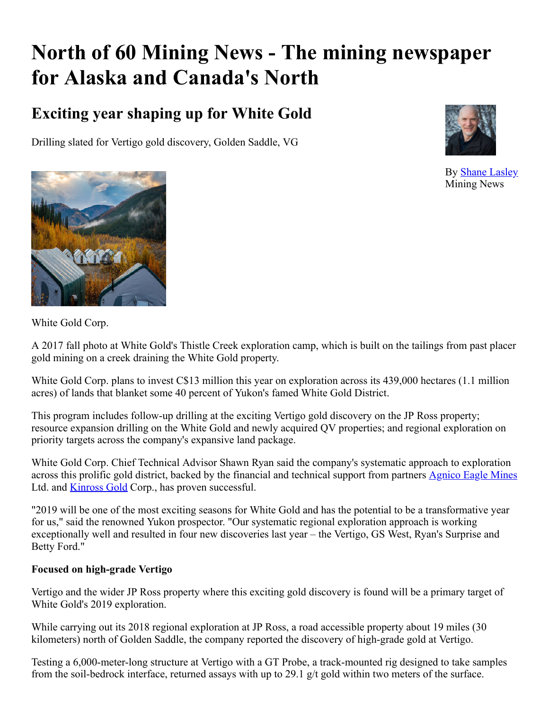# **North of 60 Mining News - The mining newspaper for Alaska and Canada's North**

# **Exciting year shaping up for White Gold**

Drilling slated for Vertigo gold discovery, Golden Saddle, VG



By [Shane Lasley](https://www.miningnewsnorth.com/author/shane_lasley) Mining News



White Gold Corp.

A 2017 fall photo at White Gold's Thistle Creek exploration camp, which is built on the tailings from past placer gold mining on a creek draining the White Gold property.

White Gold Corp. plans to invest C\$13 million this year on exploration across its 439,000 hectares (1.1 million acres) of lands that blanket some 40 percent of Yukon's famed White Gold District.

This program includes follow-up drilling at the exciting Vertigo gold discovery on the JP Ross property; resource expansion drilling on the White Gold and newly acquired QV properties; and regional exploration on priority targets across the company's expansive land package.

White Gold Corp. Chief Technical Advisor Shawn Ryan said the company's systematic approach to exploration across this prolific gold district, backed by the financial and technical support from partners [Agnico Eagle Mines](https://www.miningnewsnorth.com/search/Agnico_Eagle_Mines) Ltd. and **[Kinross Gold](https://www.miningnewsnorth.com/search/Kinross_Gold)** Corp., has proven successful.

"2019 will be one of the most exciting seasons for White Gold and has the potential to be a transformative year for us," said the renowned Yukon prospector. "Our systematic regional exploration approach is working exceptionally well and resulted in four new discoveries last year – the Vertigo, GS West, Ryan's Surprise and Betty Ford."

## **Focused on high-grade Vertigo**

Vertigo and the wider JP Ross property where this exciting gold discovery is found will be a primary target of White Gold's 2019 exploration.

While carrying out its 2018 regional exploration at JP Ross, a road accessible property about 19 miles (30) kilometers) north of Golden Saddle, the company reported the discovery of high-grade gold at Vertigo.

Testing a 6,000-meter-long structure at Vertigo with a GT Probe, a track-mounted rig designed to take samples from the soil-bedrock interface, returned assays with up to 29.1 g/t gold within two meters of the surface.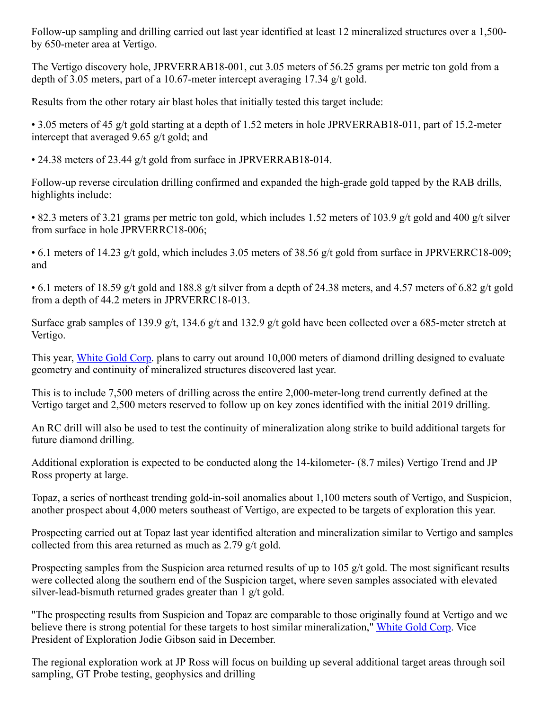Follow-up sampling and drilling carried out last year identified at least 12 mineralized structures over a 1,500 by 650-meter area at Vertigo.

The Vertigo discovery hole, JPRVERRAB18-001, cut 3.05 meters of 56.25 grams per metric ton gold from a depth of 3.05 meters, part of a 10.67-meter intercept averaging 17.34 g/t gold.

Results from the other rotary air blast holes that initially tested this target include:

• 3.05 meters of 45 g/t gold starting at a depth of 1.52 meters in hole JPRVERRAB18-011, part of 15.2-meter intercept that averaged 9.65 g/t gold; and

• 24.38 meters of 23.44 g/t gold from surface in JPRVERRAB18-014.

Follow-up reverse circulation drilling confirmed and expanded the high-grade gold tapped by the RAB drills, highlights include:

• 82.3 meters of 3.21 grams per metric ton gold, which includes 1.52 meters of 103.9 g/t gold and 400 g/t silver from surface in hole JPRVERRC18-006;

• 6.1 meters of 14.23 g/t gold, which includes 3.05 meters of 38.56 g/t gold from surface in JPRVERRC18-009; and

• 6.1 meters of 18.59 g/t gold and 188.8 g/t silver from a depth of 24.38 meters, and 4.57 meters of 6.82 g/t gold from a depth of 44.2 meters in JPRVERRC18-013.

Surface grab samples of 139.9 g/t, 134.6 g/t and 132.9 g/t gold have been collected over a 685-meter stretch at Vertigo.

This year, [White Gold Corp](https://www.miningnewsnorth.com/search/White_Gold_Corp). plans to carry out around 10,000 meters of diamond drilling designed to evaluate geometry and continuity of mineralized structures discovered last year.

This is to include 7,500 meters of drilling across the entire 2,000-meter-long trend currently defined at the Vertigo target and 2,500 meters reserved to follow up on key zones identified with the initial 2019 drilling.

An RC drill will also be used to test the continuity of mineralization along strike to build additional targets for future diamond drilling.

Additional exploration is expected to be conducted along the 14-kilometer- (8.7 miles) Vertigo Trend and JP Ross property at large.

Topaz, a series of northeast trending gold-in-soil anomalies about 1,100 meters south of Vertigo, and Suspicion, another prospect about 4,000 meters southeast of Vertigo, are expected to be targets of exploration this year.

Prospecting carried out at Topaz last year identified alteration and mineralization similar to Vertigo and samples collected from this area returned as much as 2.79 g/t gold.

Prospecting samples from the Suspicion area returned results of up to 105 g/t gold. The most significant results were collected along the southern end of the Suspicion target, where seven samples associated with elevated silver-lead-bismuth returned grades greater than 1 g/t gold.

"The prospecting results from Suspicion and Topaz are comparable to those originally found at Vertigo and we believe there is strong potential for these targets to host similar mineralization," [White Gold Corp](https://www.miningnewsnorth.com/search/White_Gold_Corp). Vice President of Exploration Jodie Gibson said in December.

The regional exploration work at JP Ross will focus on building up several additional target areas through soil sampling, GT Probe testing, geophysics and drilling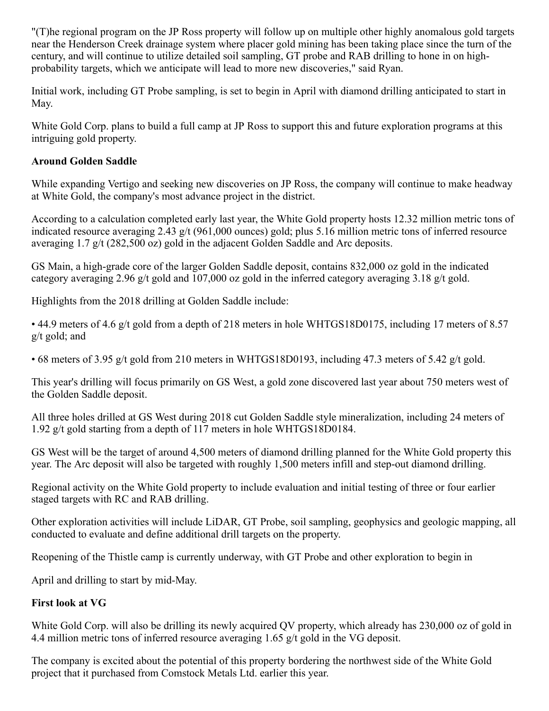"(T)he regional program on the JP Ross property will follow up on multiple other highly anomalous gold targets near the Henderson Creek drainage system where placer gold mining has been taking place since the turn of the century, and will continue to utilize detailed soil sampling, GT probe and RAB drilling to hone in on highprobability targets, which we anticipate will lead to more new discoveries," said Ryan.

Initial work, including GT Probe sampling, is set to begin in April with diamond drilling anticipated to start in May.

White Gold Corp. plans to build a full camp at JP Ross to support this and future exploration programs at this intriguing gold property.

#### **Around Golden Saddle**

While expanding Vertigo and seeking new discoveries on JP Ross, the company will continue to make headway at White Gold, the company's most advance project in the district.

According to a calculation completed early last year, the White Gold property hosts 12.32 million metric tons of indicated resource averaging 2.43 g/t (961,000 ounces) gold; plus 5.16 million metric tons of inferred resource averaging 1.7 g/t (282,500 oz) gold in the adjacent Golden Saddle and Arc deposits.

GS Main, a high-grade core of the larger Golden Saddle deposit, contains 832,000 oz gold in the indicated category averaging 2.96 g/t gold and 107,000 oz gold in the inferred category averaging 3.18 g/t gold.

Highlights from the 2018 drilling at Golden Saddle include:

• 44.9 meters of 4.6 g/t gold from a depth of 218 meters in hole WHTGS18D0175, including 17 meters of 8.57 g/t gold; and

• 68 meters of 3.95 g/t gold from 210 meters in WHTGS18D0193, including 47.3 meters of 5.42 g/t gold.

This year's drilling will focus primarily on GS West, a gold zone discovered last year about 750 meters west of the Golden Saddle deposit.

All three holes drilled at GS West during 2018 cut Golden Saddle style mineralization, including 24 meters of 1.92 g/t gold starting from a depth of 117 meters in hole WHTGS18D0184.

GS West will be the target of around 4,500 meters of diamond drilling planned for the White Gold property this year. The Arc deposit will also be targeted with roughly 1,500 meters infill and step-out diamond drilling.

Regional activity on the White Gold property to include evaluation and initial testing of three or four earlier staged targets with RC and RAB drilling.

Other exploration activities will include LiDAR, GT Probe, soil sampling, geophysics and geologic mapping, all conducted to evaluate and define additional drill targets on the property.

Reopening of the Thistle camp is currently underway, with GT Probe and other exploration to begin in

April and drilling to start by mid-May.

## **First look at VG**

White Gold Corp. will also be drilling its newly acquired QV property, which already has 230,000 oz of gold in 4.4 million metric tons of inferred resource averaging 1.65 g/t gold in the VG deposit.

The company is excited about the potential of this property bordering the northwest side of the White Gold project that it purchased from Comstock Metals Ltd. earlier this year.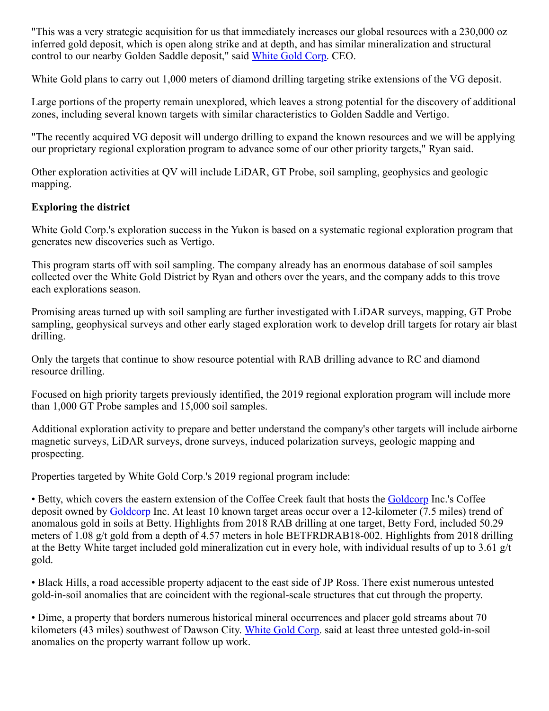"This was a very strategic acquisition for us that immediately increases our global resources with a 230,000 oz inferred gold deposit, which is open along strike and at depth, and has similar mineralization and structural control to our nearby Golden Saddle deposit," said [White Gold Corp](https://www.miningnewsnorth.com/search/White_Gold_Corp). CEO.

White Gold plans to carry out 1,000 meters of diamond drilling targeting strike extensions of the VG deposit.

Large portions of the property remain unexplored, which leaves a strong potential for the discovery of additional zones, including several known targets with similar characteristics to Golden Saddle and Vertigo.

"The recently acquired VG deposit will undergo drilling to expand the known resources and we will be applying our proprietary regional exploration program to advance some of our other priority targets," Ryan said.

Other exploration activities at QV will include LiDAR, GT Probe, soil sampling, geophysics and geologic mapping.

#### **Exploring the district**

White Gold Corp.'s exploration success in the Yukon is based on a systematic regional exploration program that generates new discoveries such as Vertigo.

This program starts off with soil sampling. The company already has an enormous database of soil samples collected over the White Gold District by Ryan and others over the years, and the company adds to this trove each explorations season.

Promising areas turned up with soil sampling are further investigated with LiDAR surveys, mapping, GT Probe sampling, geophysical surveys and other early staged exploration work to develop drill targets for rotary air blast drilling.

Only the targets that continue to show resource potential with RAB drilling advance to RC and diamond resource drilling.

Focused on high priority targets previously identified, the 2019 regional exploration program will include more than 1,000 GT Probe samples and 15,000 soil samples.

Additional exploration activity to prepare and better understand the company's other targets will include airborne magnetic surveys, LiDAR surveys, drone surveys, induced polarization surveys, geologic mapping and prospecting.

Properties targeted by White Gold Corp.'s 2019 regional program include:

• Betty, which covers the eastern extension of the Coffee Creek fault that hosts the [Goldcorp](https://www.miningnewsnorth.com/search/Goldcorp) Inc.'s Coffee deposit owned by [Goldcorp](https://www.miningnewsnorth.com/search/Goldcorp) Inc. At least 10 known target areas occur over a 12-kilometer (7.5 miles) trend of anomalous gold in soils at Betty. Highlights from 2018 RAB drilling at one target, Betty Ford, included 50.29 meters of 1.08 g/t gold from a depth of 4.57 meters in hole BETFRDRAB18-002. Highlights from 2018 drilling at the Betty White target included gold mineralization cut in every hole, with individual results of up to 3.61 g/t gold.

• Black Hills, a road accessible property adjacent to the east side of JP Ross. There exist numerous untested gold-in-soil anomalies that are coincident with the regional-scale structures that cut through the property.

• Dime, a property that borders numerous historical mineral occurrences and placer gold streams about 70 kilometers (43 miles) southwest of Dawson City. [White Gold Corp](https://www.miningnewsnorth.com/search/White_Gold_Corp). said at least three untested gold-in-soil anomalies on the property warrant follow up work.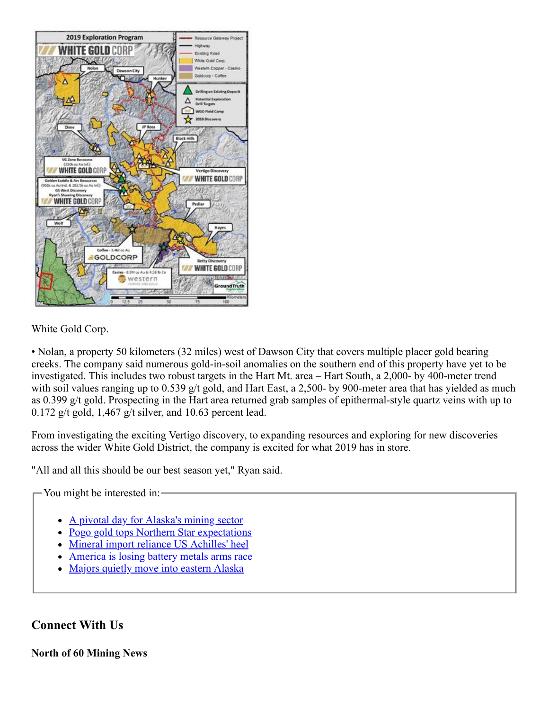

#### White Gold Corp.

• Nolan, a property 50 kilometers (32 miles) west of Dawson City that covers multiple placer gold bearing creeks. The company said numerous gold-in-soil anomalies on the southern end of this property have yet to be investigated. This includes two robust targets in the Hart Mt. area – Hart South, a 2,000- by 400-meter trend with soil values ranging up to 0.539 g/t gold, and Hart East, a 2,500- by 900-meter area that has yielded as much as 0.399 g/t gold. Prospecting in the Hart area returned grab samples of epithermal-style quartz veins with up to 0.172 g/t gold, 1,467 g/t silver, and 10.63 percent lead.

From investigating the exciting Vertigo discovery, to expanding resources and exploring for new discoveries across the wider White Gold District, the company is excited for what 2019 has in store.

"All and all this should be our best season yet," Ryan said.

You might be interested in:

- [A pivotal day for Alaska's mining sector](https://www.miningnewsnorth.com/story/2018/11/09/news/a-pivotal-day-for-alaskas-mining-sector/5486.html)
- [Pogo gold tops Northern Star expectations](https://www.miningnewsnorth.com/story/2018/10/19/news/pogo-gold-tops-northern-star-expectations/5395.html)
- [Mineral import reliance US Achilles' heel](https://www.miningnewsnorth.com/story/2019/02/08/news/mineral-import-reliance-us-achilles-heel/5604.html)
- [America is losing battery metals arms race](https://www.miningnewsnorth.com/story/2019/02/15/news/america-is-losing-battery-metals-arms-race/5611.html)
- [Majors quietly move into eastern Alaska](https://www.miningnewsnorth.com/story/2018/11/02/news/majors-quietly-move-into-eastern-alaska/5473.html)

**Connect With Us**

**North of 60 Mining News**